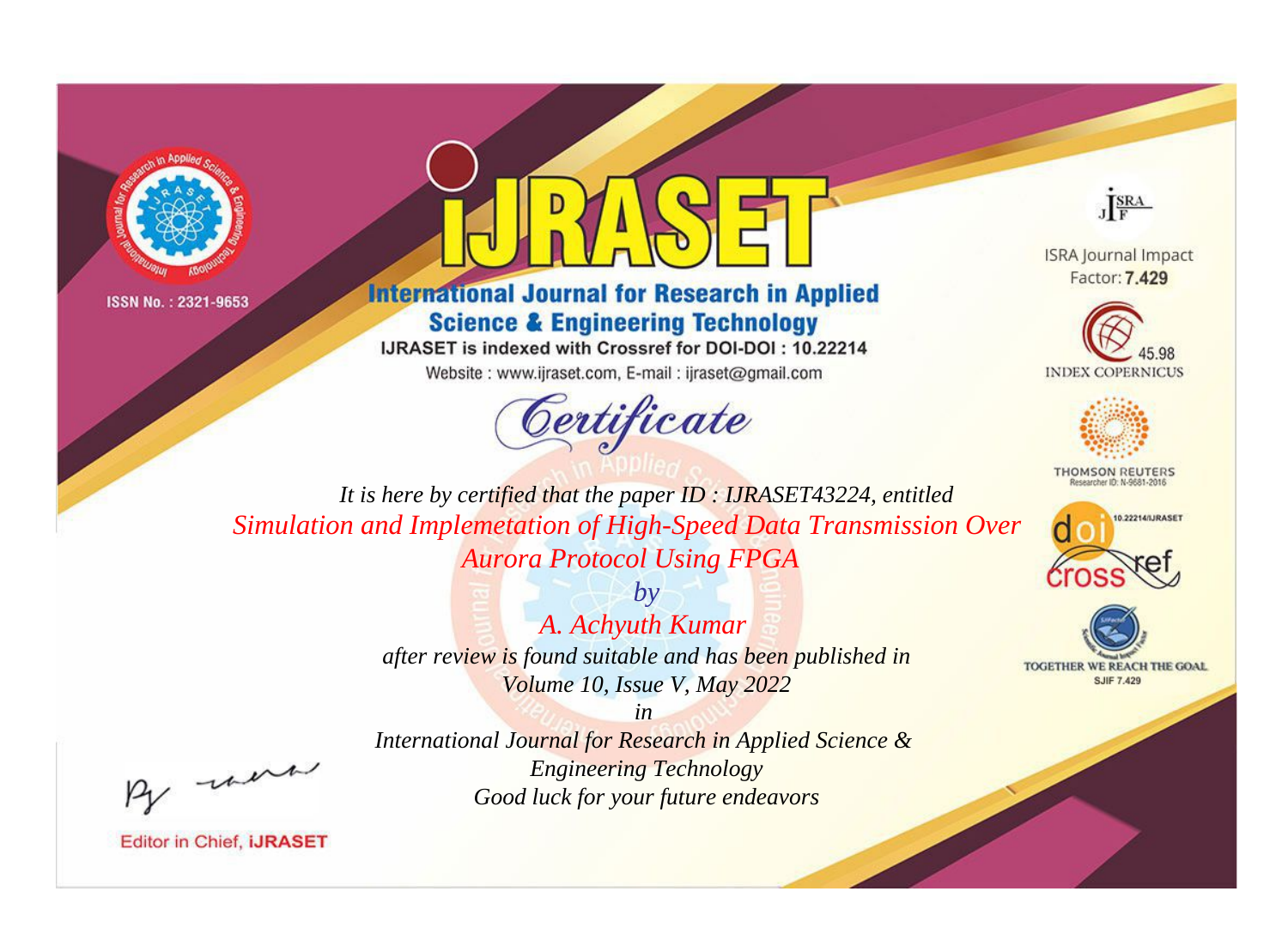



**International Journal for Research in Applied Science & Engineering Technology** 

IJRASET is indexed with Crossref for DOI-DOI: 10.22214

Website: www.ijraset.com, E-mail: ijraset@gmail.com



JERA

**ISRA Journal Impact** Factor: 7.429





**THOMSON REUTERS** 



TOGETHER WE REACH THE GOAL **SJIF 7.429** 

It is here by certified that the paper ID: IJRASET43224, entitled Simulation and Implemetation of High-Speed Data Transmission Over **Aurora Protocol Using FPGA** 

> $by$ A. Achyuth Kumar after review is found suitable and has been published in Volume 10, Issue V, May 2022

were

International Journal for Research in Applied Science & **Engineering Technology** Good luck for your future endeavors

 $in$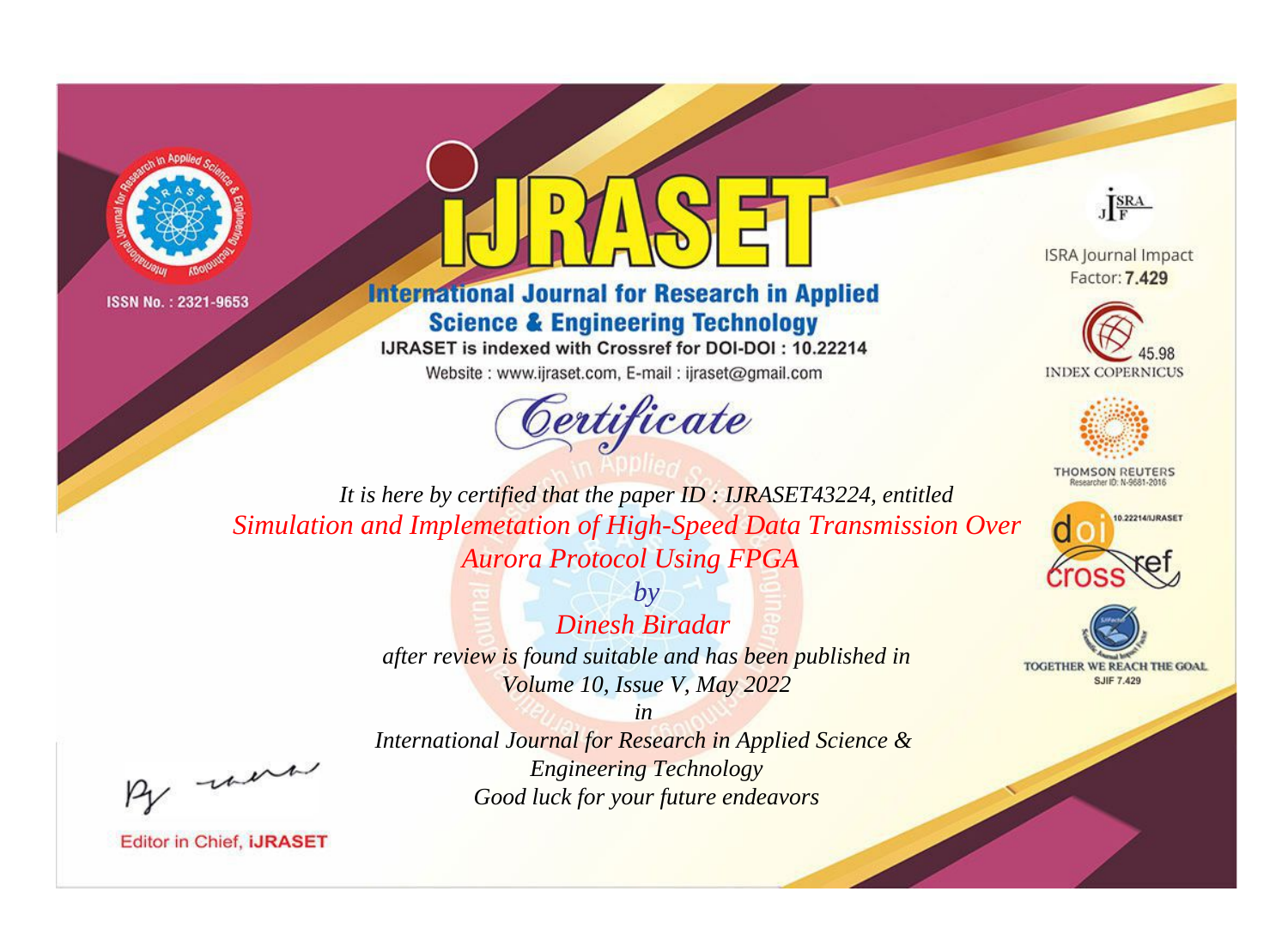



**International Journal for Research in Applied Science & Engineering Technology** 

IJRASET is indexed with Crossref for DOI-DOI: 10.22214

Website: www.ijraset.com, E-mail: ijraset@gmail.com



JERA

**ISRA Journal Impact** Factor: 7.429





**THOMSON REUTERS** 



TOGETHER WE REACH THE GOAL **SJIF 7.429** 

It is here by certified that the paper ID: IJRASET43224, entitled Simulation and Implemetation of High-Speed Data Transmission Over **Aurora Protocol Using FPGA** 

> $b\nu$ Dinesh Biradar after review is found suitable and has been published in Volume 10, Issue V, May 2022

were

International Journal for Research in Applied Science & **Engineering Technology** Good luck for your future endeavors

 $in$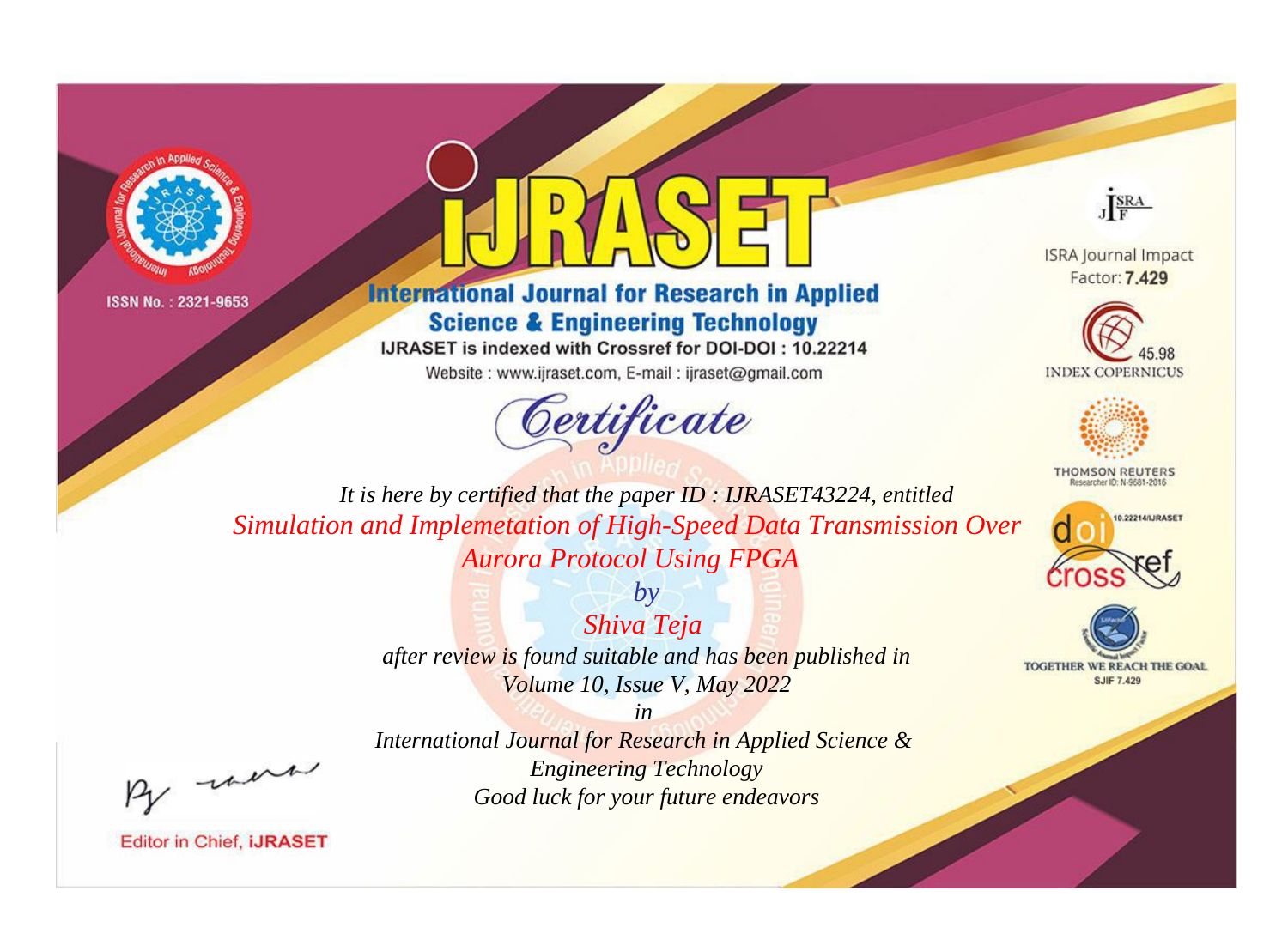



**International Journal for Research in Applied Science & Engineering Technology** 

IJRASET is indexed with Crossref for DOI-DOI: 10.22214

Website: www.ijraset.com, E-mail: ijraset@gmail.com



JERA

**ISRA Journal Impact** Factor: 7.429





**THOMSON REUTERS** 



TOGETHER WE REACH THE GOAL **SJIF 7.429** 

It is here by certified that the paper ID: IJRASET43224, entitled Simulation and Implemetation of High-Speed Data Transmission Over **Aurora Protocol Using FPGA** 

> Shiva Teja after review is found suitable and has been published in Volume 10, Issue V, May 2022

 $by$ 

were

International Journal for Research in Applied Science & **Engineering Technology** Good luck for your future endeavors

 $in$